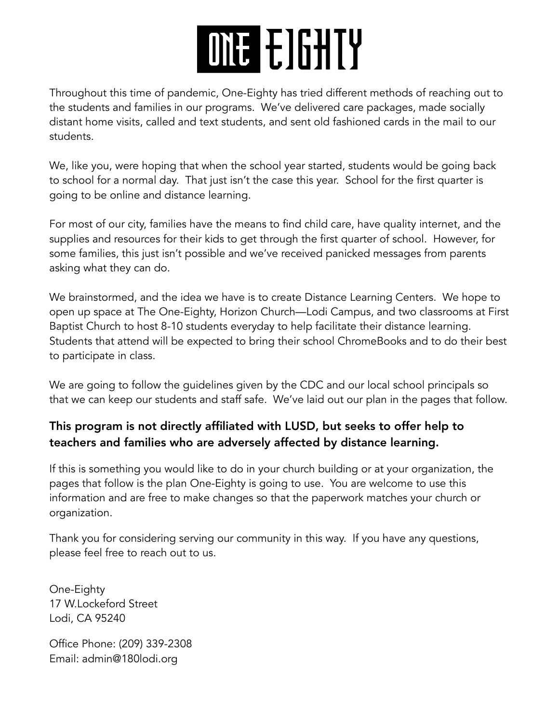# ONE E GILTY

Throughout this time of pandemic, One-Eighty has tried different methods of reaching out to the students and families in our programs. We've delivered care packages, made socially distant home visits, called and text students, and sent old fashioned cards in the mail to our students.

We, like you, were hoping that when the school year started, students would be going back to school for a normal day. That just isn't the case this year. School for the first quarter is going to be online and distance learning.

For most of our city, families have the means to find child care, have quality internet, and the supplies and resources for their kids to get through the first quarter of school. However, for some families, this just isn't possible and we've received panicked messages from parents asking what they can do.

We brainstormed, and the idea we have is to create Distance Learning Centers. We hope to open up space at The One-Eighty, Horizon Church—Lodi Campus, and two classrooms at First Baptist Church to host 8-10 students everyday to help facilitate their distance learning. Students that attend will be expected to bring their school ChromeBooks and to do their best to participate in class.

We are going to follow the guidelines given by the CDC and our local school principals so that we can keep our students and staff safe. We've laid out our plan in the pages that follow.

# This program is not directly affiliated with LUSD, but seeks to offer help to teachers and families who are adversely affected by distance learning.

If this is something you would like to do in your church building or at your organization, the pages that follow is the plan One-Eighty is going to use. You are welcome to use this information and are free to make changes so that the paperwork matches your church or organization.

Thank you for considering serving our community in this way. If you have any questions, please feel free to reach out to us.

One-Eighty 17 W.Lockeford Street Lodi, CA 95240

Office Phone: (209) 339-2308 Email: admin@180lodi.org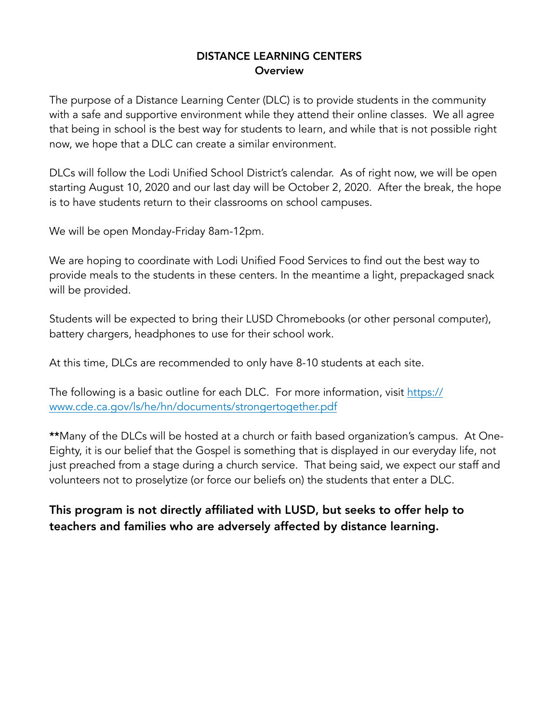#### DISTANCE LEARNING CENTERS **Overview**

The purpose of a Distance Learning Center (DLC) is to provide students in the community with a safe and supportive environment while they attend their online classes. We all agree that being in school is the best way for students to learn, and while that is not possible right now, we hope that a DLC can create a similar environment.

DLCs will follow the Lodi Unified School District's calendar. As of right now, we will be open starting August 10, 2020 and our last day will be October 2, 2020. After the break, the hope is to have students return to their classrooms on school campuses.

We will be open Monday-Friday 8am-12pm.

We are hoping to coordinate with Lodi Unified Food Services to find out the best way to provide meals to the students in these centers. In the meantime a light, prepackaged snack will be provided.

Students will be expected to bring their LUSD Chromebooks (or other personal computer), battery chargers, headphones to use for their school work.

At this time, DLCs are recommended to only have 8-10 students at each site.

The following is a basic outline for each DLC. For more information, visit [https://](https://www.cde.ca.gov/ls/he/hn/documents/strongertogether.pdf) [www.cde.ca.gov/ls/he/hn/documents/strongertogether.pdf](https://www.cde.ca.gov/ls/he/hn/documents/strongertogether.pdf)

\*\*Many of the DLCs will be hosted at a church or faith based organization's campus. At One-Eighty, it is our belief that the Gospel is something that is displayed in our everyday life, not just preached from a stage during a church service. That being said, we expect our staff and volunteers not to proselytize (or force our beliefs on) the students that enter a DLC.

This program is not directly affiliated with LUSD, but seeks to offer help to teachers and families who are adversely affected by distance learning.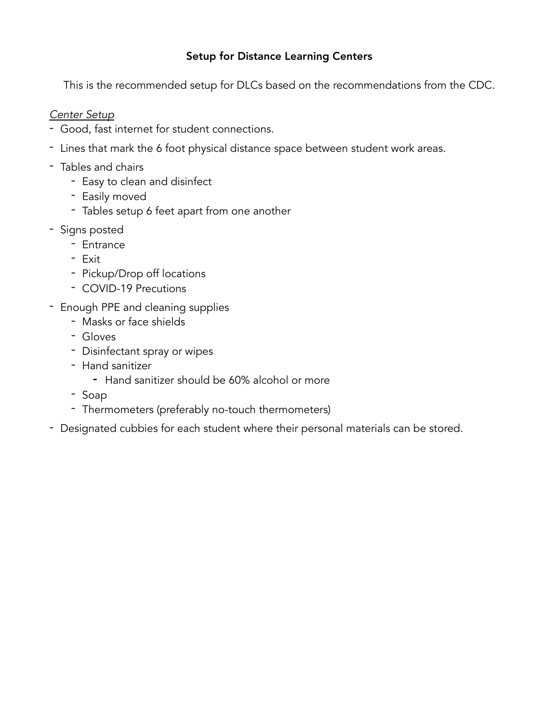# Setup for Distance Learning Centers

This is the recommended setup for DLCs based on the recommendations from the CDC.

#### *Center Setup*

- Good, fast internet for student connections.
- Lines that mark the 6 foot physical distance space between student work areas.
- Tables and chairs
	- Easy to clean and disinfect
	- Easily moved
	- Tables setup 6 feet apart from one another
- Signs posted
	- Entrance
	- Exit
	- Pickup/Drop off locations
	- COVID-19 Precutions
- Enough PPE and cleaning supplies
	- Masks or face shields
	- Gloves
	- Disinfectant spray or wipes
	- Hand sanitizer
		- Hand sanitizer should be 60% alcohol or more
	- Soap
	- Thermometers (preferably no-touch thermometers)
- Designated cubbies for each student where their personal materials can be stored.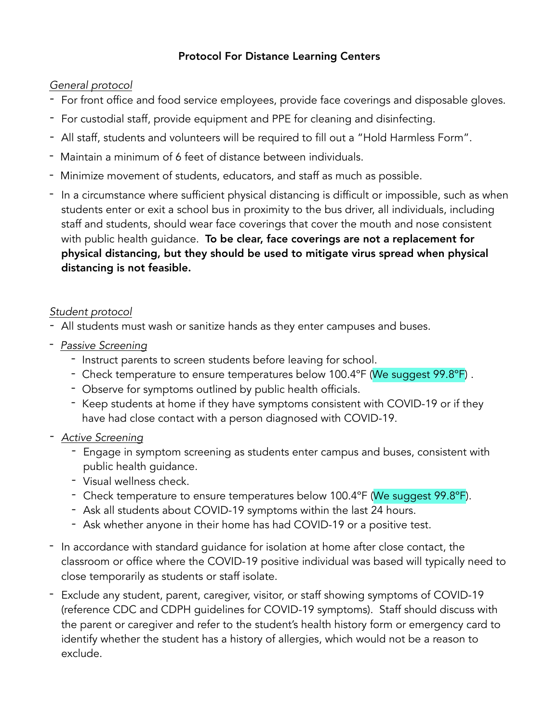# Protocol For Distance Learning Centers

# *General protocol*

- *-* For front office and food service employees, provide face coverings and disposable gloves.
- *-* For custodial staff, provide equipment and PPE for cleaning and disinfecting.
- *-* All staff, students and volunteers will be required to fill out a "Hold Harmless Form".
- Maintain a minimum of 6 feet of distance between individuals.
- Minimize movement of students, educators, and staff as much as possible.
- In a circumstance where sufficient physical distancing is difficult or impossible, such as when students enter or exit a school bus in proximity to the bus driver, all individuals, including staff and students, should wear face coverings that cover the mouth and nose consistent with public health guidance. To be clear, face coverings are not a replacement for physical distancing, but they should be used to mitigate virus spread when physical distancing is not feasible.

# *Student protocol*

- *-* All students must wash or sanitize hands as they enter campuses and buses.
- *Passive Screening* 
	- Instruct parents to screen students before leaving for school.
	- Check temperature to ensure temperatures below 100.4ºF (We suggest 99.8ºF) .
	- Observe for symptoms outlined by public health officials.
	- Keep students at home if they have symptoms consistent with COVID-19 or if they have had close contact with a person diagnosed with COVID-19.
- *- Active Screening* 
	- *-* Engage in symptom screening as students enter campus and buses, consistent with public health guidance.
	- *-* Visual wellness check.
	- *-* Check temperature to ensure temperatures below 100.4ºF (We suggest 99.8ºF).
	- *-* Ask all students about COVID-19 symptoms within the last 24 hours.
	- *-* Ask whether anyone in their home has had COVID-19 or a positive test.
- In accordance with standard guidance for isolation at home after close contact, the classroom or office where the COVID-19 positive individual was based will typically need to close temporarily as students or staff isolate.
- Exclude any student, parent, caregiver, visitor, or staff showing symptoms of COVID-19 (reference CDC and CDPH guidelines for COVID-19 symptoms). Staff should discuss with the parent or caregiver and refer to the student's health history form or emergency card to identify whether the student has a history of allergies, which would not be a reason to exclude.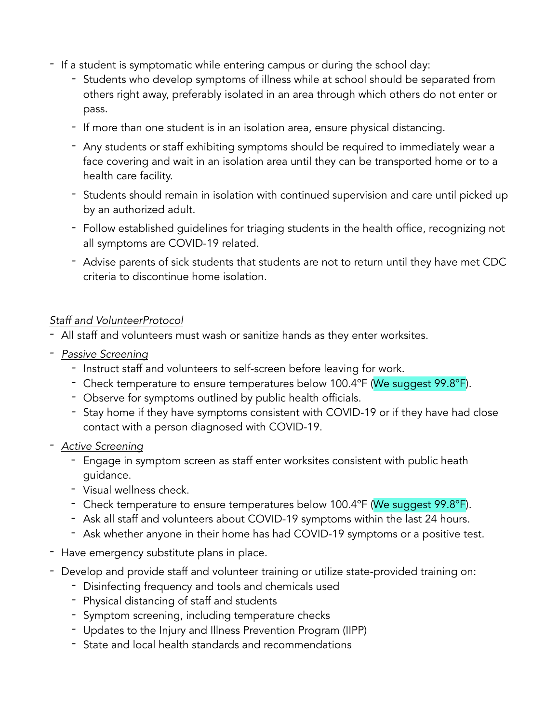- *-* If a student is symptomatic while entering campus or during the school day:
	- *-* Students who develop symptoms of illness while at school should be separated from others right away, preferably isolated in an area through which others do not enter or pass.
	- *-* If more than one student is in an isolation area, ensure physical distancing.
	- *-* Any students or staff exhibiting symptoms should be required to immediately wear a face covering and wait in an isolation area until they can be transported home or to a health care facility.
	- *-* Students should remain in isolation with continued supervision and care until picked up by an authorized adult.
	- *-* Follow established guidelines for triaging students in the health office, recognizing not all symptoms are COVID-19 related.
	- *-* Advise parents of sick students that students are not to return until they have met CDC criteria to discontinue home isolation.

#### *Staff and VolunteerProtocol*

- *-* All staff and volunteers must wash or sanitize hands as they enter worksites.
- *- Passive Screening*
	- *-* Instruct staff and volunteers to self-screen before leaving for work.
	- *-* Check temperature to ensure temperatures below 100.4ºF (We suggest 99.8ºF).
	- *-* Observe for symptoms outlined by public health officials.
	- *-* Stay home if they have symptoms consistent with COVID-19 or if they have had close contact with a person diagnosed with COVID-19.
- *- Active Screening* 
	- Engage in symptom screen as staff enter worksites consistent with public heath guidance.
	- Visual wellness check.
	- Check temperature to ensure temperatures below 100.4ºF (We suggest 99.8ºF).
	- Ask all staff and volunteers about COVID-19 symptoms within the last 24 hours.
	- Ask whether anyone in their home has had COVID-19 symptoms or a positive test.
- *-* Have emergency substitute plans in place.
- *-* Develop and provide staff and volunteer training or utilize state-provided training on:
	- *-* Disinfecting frequency and tools and chemicals used
	- *-* Physical distancing of staff and students
	- *-* Symptom screening, including temperature checks
	- *-* Updates to the Injury and Illness Prevention Program (IIPP)
	- *-* State and local health standards and recommendations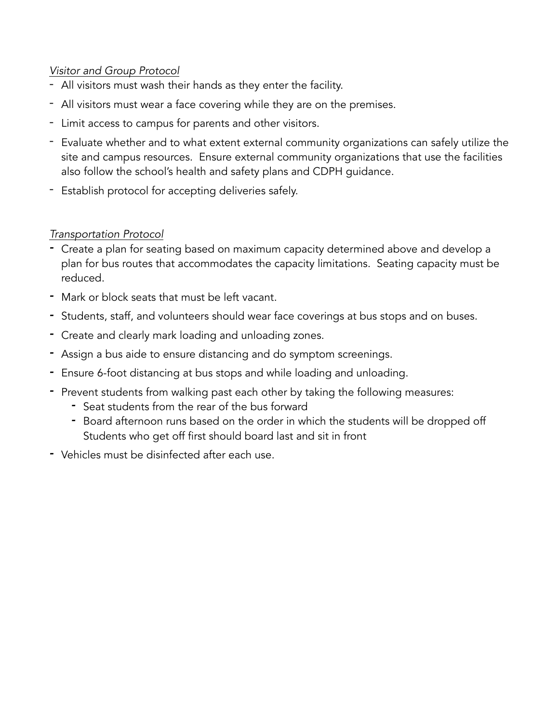# *Visitor and Group Protocol*

- All visitors must wash their hands as they enter the facility.
- All visitors must wear a face covering while they are on the premises.
- Limit access to campus for parents and other visitors.
- Evaluate whether and to what extent external community organizations can safely utilize the site and campus resources. Ensure external community organizations that use the facilities also follow the school's health and safety plans and CDPH guidance.
- Establish protocol for accepting deliveries safely.

# *Transportation Protocol*

- *-* Create a plan for seating based on maximum capacity determined above and develop a plan for bus routes that accommodates the capacity limitations. Seating capacity must be reduced.
- *-* Mark or block seats that must be left vacant.
- *-* Students, staff, and volunteers should wear face coverings at bus stops and on buses.
- *-* Create and clearly mark loading and unloading zones.
- *-* Assign a bus aide to ensure distancing and do symptom screenings.
- *-* Ensure 6-foot distancing at bus stops and while loading and unloading.
- *-* Prevent students from walking past each other by taking the following measures:
	- *-* Seat students from the rear of the bus forward
	- *-* Board afternoon runs based on the order in which the students will be dropped off Students who get off first should board last and sit in front
- *-* Vehicles must be disinfected after each use.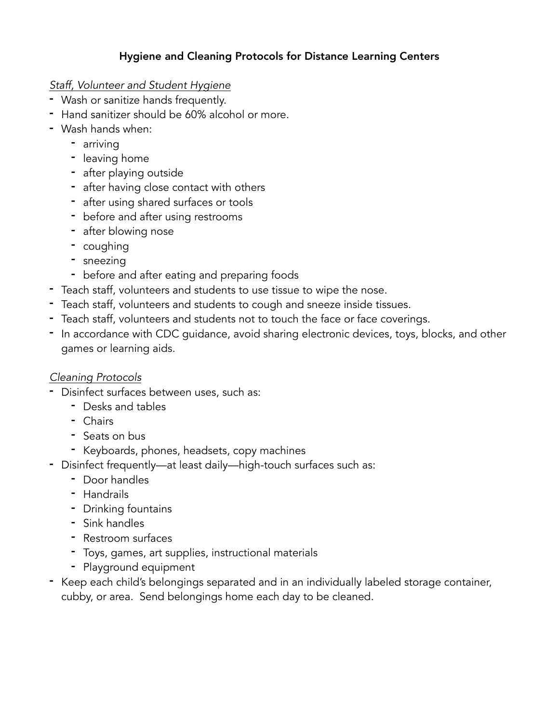# Hygiene and Cleaning Protocols for Distance Learning Centers

# *Staff, Volunteer and Student Hygiene*

- Wash or sanitize hands frequently.
- Hand sanitizer should be 60% alcohol or more.
- Wash hands when:
	- arriving
	- leaving home
	- after playing outside
	- after having close contact with others
	- after using shared surfaces or tools
	- before and after using restrooms
	- after blowing nose
	- coughing
	- sneezing
	- before and after eating and preparing foods
- Teach staff, volunteers and students to use tissue to wipe the nose.
- Teach staff, volunteers and students to cough and sneeze inside tissues.
- Teach staff, volunteers and students not to touch the face or face coverings.
- In accordance with CDC guidance, avoid sharing electronic devices, toys, blocks, and other games or learning aids.

# *Cleaning Protocols*

- Disinfect surfaces between uses, such as:
	- Desks and tables
	- Chairs
	- Seats on bus
	- Keyboards, phones, headsets, copy machines
- Disinfect frequently—at least daily—high-touch surfaces such as:
	- Door handles
	- Handrails
	- Drinking fountains
	- Sink handles
	- Restroom surfaces
	- Toys, games, art supplies, instructional materials
	- Playground equipment
- Keep each child's belongings separated and in an individually labeled storage container, cubby, or area. Send belongings home each day to be cleaned.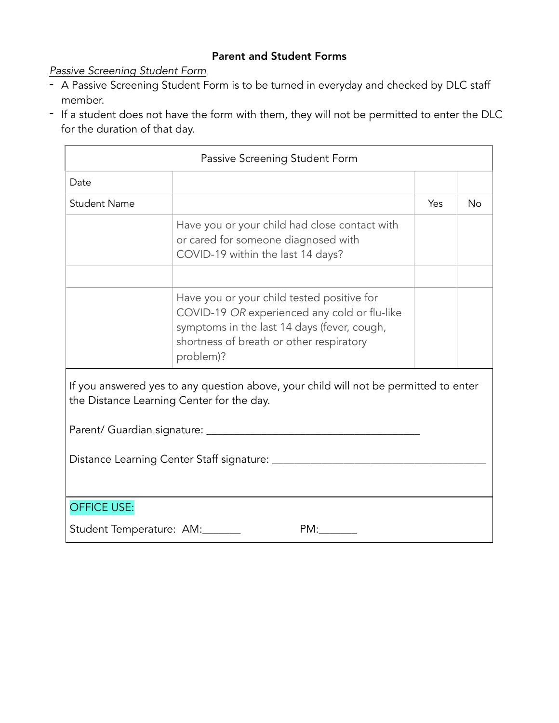#### Parent and Student Forms

*Passive Screening Student Form* 

- A Passive Screening Student Form is to be turned in everyday and checked by DLC staff member.
- If a student does not have the form with them, they will not be permitted to enter the DLC for the duration of that day.

| Passive Screening Student Form                                                                                                    |                                                                                                                                                                                                    |     |           |  |  |  |
|-----------------------------------------------------------------------------------------------------------------------------------|----------------------------------------------------------------------------------------------------------------------------------------------------------------------------------------------------|-----|-----------|--|--|--|
| Date                                                                                                                              |                                                                                                                                                                                                    |     |           |  |  |  |
| <b>Student Name</b>                                                                                                               |                                                                                                                                                                                                    | Yes | <b>No</b> |  |  |  |
|                                                                                                                                   | Have you or your child had close contact with<br>or cared for someone diagnosed with<br>COVID-19 within the last 14 days?                                                                          |     |           |  |  |  |
|                                                                                                                                   | Have you or your child tested positive for<br>COVID-19 OR experienced any cold or flu-like<br>symptoms in the last 14 days (fever, cough,<br>shortness of breath or other respiratory<br>problem)? |     |           |  |  |  |
| If you answered yes to any question above, your child will not be permitted to enter<br>the Distance Learning Center for the day. |                                                                                                                                                                                                    |     |           |  |  |  |
|                                                                                                                                   |                                                                                                                                                                                                    |     |           |  |  |  |
|                                                                                                                                   |                                                                                                                                                                                                    |     |           |  |  |  |
| <b>OFFICE USE:</b>                                                                                                                |                                                                                                                                                                                                    |     |           |  |  |  |
| Student Temperature: AM:<br>PM:                                                                                                   |                                                                                                                                                                                                    |     |           |  |  |  |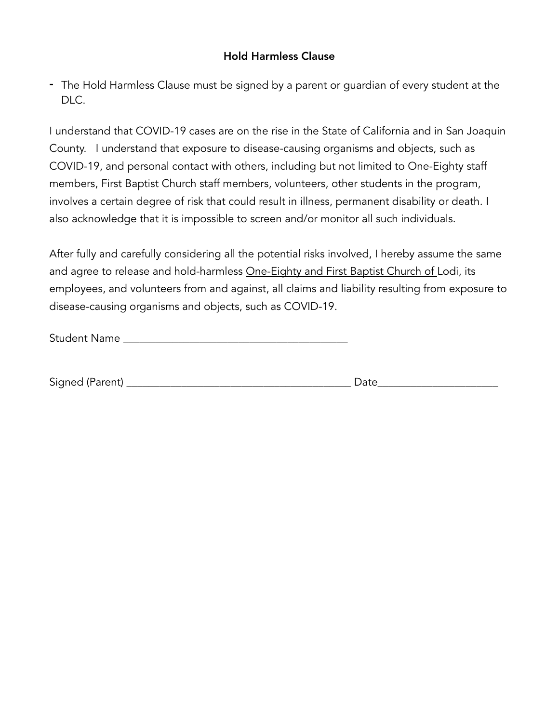#### Hold Harmless Clause

- The Hold Harmless Clause must be signed by a parent or guardian of every student at the DLC.

I understand that COVID-19 cases are on the rise in the State of California and in San Joaquin County. I understand that exposure to disease-causing organisms and objects, such as COVID-19, and personal contact with others, including but not limited to One-Eighty staff members, First Baptist Church staff members, volunteers, other students in the program, involves a certain degree of risk that could result in illness, permanent disability or death. I also acknowledge that it is impossible to screen and/or monitor all such individuals.

After fully and carefully considering all the potential risks involved, I hereby assume the same and agree to release and hold-harmless One-Eighty and First Baptist Church of Lodi, its employees, and volunteers from and against, all claims and liability resulting from exposure to disease-causing organisms and objects, such as COVID-19.

Student Name \_\_\_\_\_\_\_\_\_\_\_\_\_\_\_\_\_\_\_\_\_\_\_\_\_\_\_\_\_\_\_\_\_\_\_\_\_\_\_\_\_

| $\sim$<br>- - - -<br>Siar<br>ΙT<br>$-$<br>_ | -- |  |
|---------------------------------------------|----|--|
|                                             |    |  |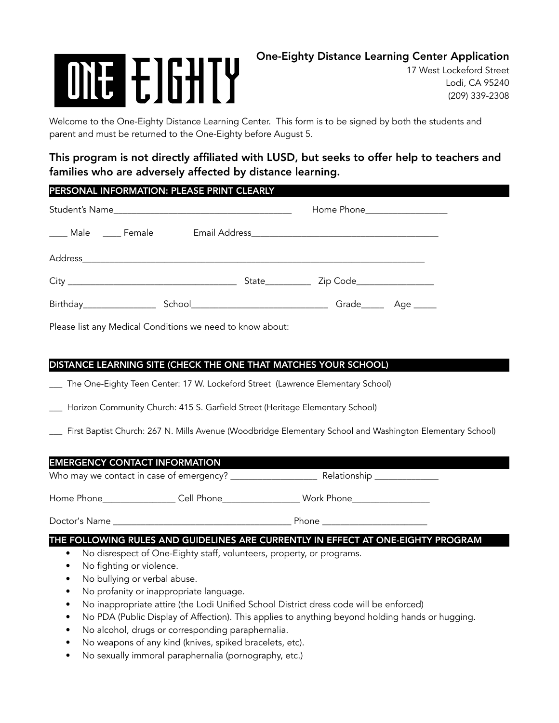# **ONE EIGHTY**

17 West Lockeford Street Lodi, CA 95240 (209) 339-2308

Welcome to the One-Eighty Distance Learning Center. This form is to be signed by both the students and parent and must be returned to the One-Eighty before August 5.

# This program is not directly affiliated with LUSD, but seeks to offer help to teachers and families who are adversely affected by distance learning.

#### PERSONAL INFORMATION: PLEASE PRINT CLEARLY

| Student's Name            |  |  |  | Home Phone___________________ |           |  |  |
|---------------------------|--|--|--|-------------------------------|-----------|--|--|
| ____ Male  ____ Female    |  |  |  |                               |           |  |  |
|                           |  |  |  |                               |           |  |  |
|                           |  |  |  |                               |           |  |  |
| Birthday_________________ |  |  |  | Grade_____                    | Age _____ |  |  |

Please list any Medical Conditions we need to know about:

#### DISTANCE LEARNING SITE (CHECK THE ONE THAT MATCHES YOUR SCHOOL)

\_\_\_ The One-Eighty Teen Center: 17 W. Lockeford Street (Lawrence Elementary School)

Horizon Community Church: 415 S. Garfield Street (Heritage Elementary School)

\_\_\_ First Baptist Church: 267 N. Mills Avenue (Woodbridge Elementary School and Washington Elementary School)

#### EMERGENCY CONTACT INFORMATION

Who may we contact in case of emergency? \_\_\_\_\_\_\_\_\_\_\_\_\_\_\_\_\_\_\_ Relationship \_\_\_\_\_\_\_\_\_\_\_\_\_\_

Home Phone **Figure 2018** Cell Phone **Cell Phone Work Phone** 

Doctor's Name \_\_\_\_\_\_\_\_\_\_\_\_\_\_\_\_\_\_\_\_\_\_\_\_\_\_\_\_\_\_\_\_\_\_\_\_\_\_\_ Phone \_\_\_\_\_\_\_\_\_\_\_\_\_\_\_\_\_\_\_\_\_\_\_

#### THE FOLLOWING RULES AND GUIDELINES ARE CURRENTLY IN EFFECT AT ONE-EIGHTY PROGRAM

- No disrespect of One-Eighty staff, volunteers, property, or programs.
- No fighting or violence.
- No bullying or verbal abuse.
- No profanity or inappropriate language.
- No inappropriate attire (the Lodi Unified School District dress code will be enforced)
- No PDA (Public Display of Affection). This applies to anything beyond holding hands or hugging.
- No alcohol, drugs or corresponding paraphernalia.
- No weapons of any kind (knives, spiked bracelets, etc).
- No sexually immoral paraphernalia (pornography, etc.)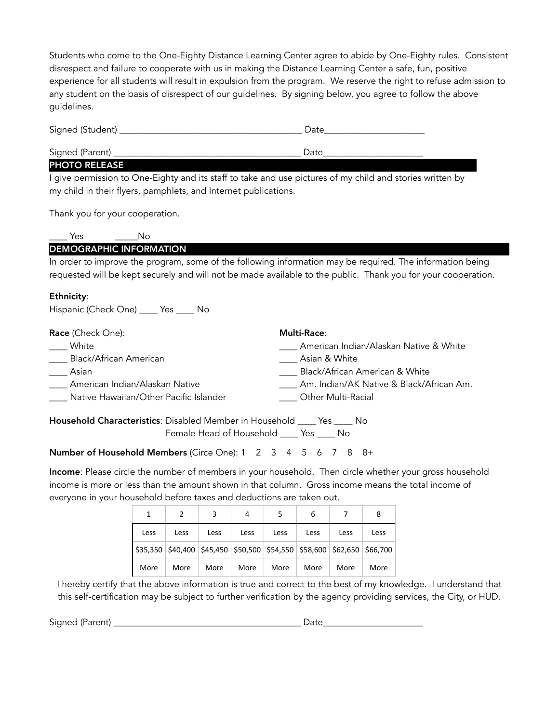Students who come to the One-Eighty Distance Learning Center agree to abide by One-Eighty rules. Consistent disrespect and failure to cooperate with us in making the Distance Learning Center a safe, fun, positive experience for all students will result in expulsion from the program. We reserve the right to refuse admission to any student on the basis of disrespect of our guidelines. By signing below, you agree to follow the above guidelines.

| Signed (Student) | Date |  |
|------------------|------|--|
| Signed (Parent)  | Date |  |

#### PHOTO RELEASE

I give permission to One-Eighty and its staff to take and use pictures of my child and stories written by my child in their flyers, pamphlets, and Internet publications.

Thank you for your cooperation.

| Nκ                             |                                                                                                                |  |  |
|--------------------------------|----------------------------------------------------------------------------------------------------------------|--|--|
| <b>DEMOGRAPHIC INFORMATION</b> |                                                                                                                |  |  |
|                                | the exclusive increases the nucleon comes of the following information move be sequived. The information being |  |  |

In order to improve the program, some of the following information may be required. The information being requested will be kept securely and will not be made available to the public. Thank you for your cooperation.

#### Ethnicity:

Hispanic (Check One) \_\_\_\_ Yes \_\_\_\_ No

| <b>Race</b> (Check One):               | <b>Multi-Race:</b>                       |
|----------------------------------------|------------------------------------------|
| White                                  | American Indian/Alaskan Native & White   |
| Black/African American                 | Asian & White                            |
| Asian                                  | Black/African American & White           |
| American Indian/Alaskan Native         | Am. Indian/AK Native & Black/African Am. |
| Native Hawaiian/Other Pacific Islander | Other Multi-Racial                       |
|                                        |                                          |

Household Characteristics: Disabled Member in Household \_\_\_\_ Yes \_\_\_\_ No Female Head of Household \_\_\_\_ Yes \_\_\_\_ No

Number of Household Members (Circe One): 1 2 3 4 5 6 7 8 8+

Income: Please circle the number of members in your household. Then circle whether your gross household income is more or less than the amount shown in that column. Gross income means the total income of everyone in your household before taxes and deductions are taken out.

|      |      |      | 4    |                                                                                 | 6    |      | 8    |
|------|------|------|------|---------------------------------------------------------------------------------|------|------|------|
| Less | Less | Less | Less | Less                                                                            | Less | Less | Less |
|      |      |      |      | $$35,350$ $$40,400$ $$45,450$ $$50,500$ $$54,550$ $$58,600$ $$62,650$ $$66,700$ |      |      |      |
| More | More | More | More | More                                                                            | More | More | More |

I hereby certify that the above information is true and correct to the best of my knowledge. I understand that this self-certification may be subject to further verification by the agency providing services, the City, or HUD.

Signed (Parent) \_\_\_\_\_\_\_\_\_\_\_\_\_\_\_\_\_\_\_\_\_\_\_\_\_\_\_\_\_\_\_\_\_\_\_\_\_\_\_\_\_ Date\_\_\_\_\_\_\_\_\_\_\_\_\_\_\_\_\_\_\_\_\_\_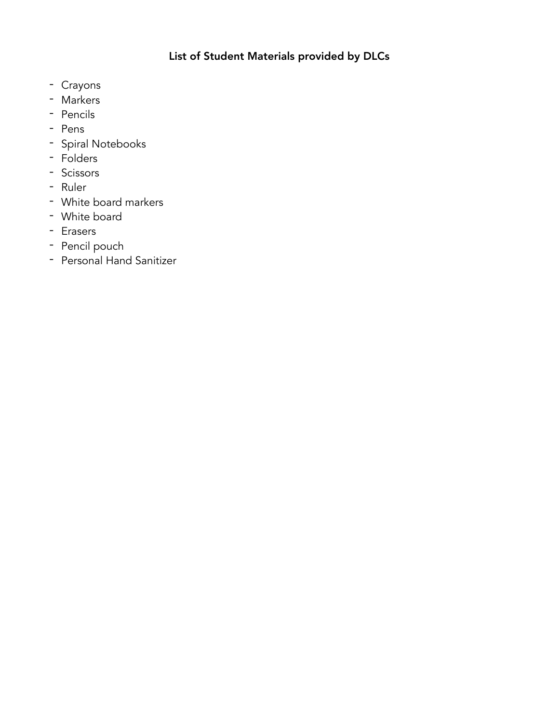# List of Student Materials provided by DLCs

- Crayons
- Markers
- Pencils
- Pens
- Spiral Notebooks
- Folders
- Scissors
- Ruler
- White board markers
- White board
- Erasers
- Pencil pouch
- Personal Hand Sanitizer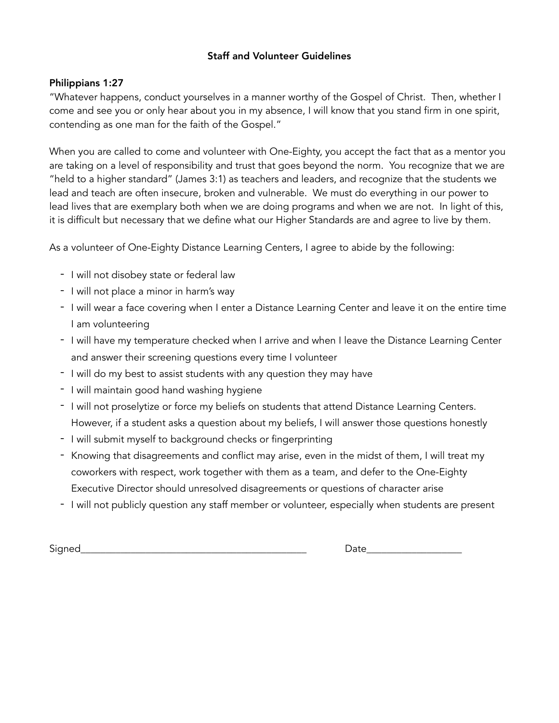#### Staff and Volunteer Guidelines

#### Philippians 1:27

"Whatever happens, conduct yourselves in a manner worthy of the Gospel of Christ. Then, whether I come and see you or only hear about you in my absence, I will know that you stand firm in one spirit, contending as one man for the faith of the Gospel."

When you are called to come and volunteer with One-Eighty, you accept the fact that as a mentor you are taking on a level of responsibility and trust that goes beyond the norm. You recognize that we are "held to a higher standard" (James 3:1) as teachers and leaders, and recognize that the students we lead and teach are often insecure, broken and vulnerable. We must do everything in our power to lead lives that are exemplary both when we are doing programs and when we are not. In light of this, it is difficult but necessary that we define what our Higher Standards are and agree to live by them.

As a volunteer of One-Eighty Distance Learning Centers, I agree to abide by the following:

- I will not disobey state or federal law
- I will not place a minor in harm's way
- I will wear a face covering when I enter a Distance Learning Center and leave it on the entire time I am volunteering
- I will have my temperature checked when I arrive and when I leave the Distance Learning Center and answer their screening questions every time I volunteer
- I will do my best to assist students with any question they may have
- I will maintain good hand washing hygiene
- I will not proselytize or force my beliefs on students that attend Distance Learning Centers. However, if a student asks a question about my beliefs, I will answer those questions honestly
- I will submit myself to background checks or fingerprinting
- Knowing that disagreements and conflict may arise, even in the midst of them, I will treat my coworkers with respect, work together with them as a team, and defer to the One-Eighty Executive Director should unresolved disagreements or questions of character arise
- I will not publicly question any staff member or volunteer, especially when students are present

Signed\_\_\_\_\_\_\_\_\_\_\_\_\_\_\_\_\_\_\_\_\_\_\_\_\_\_\_\_\_\_\_\_\_\_\_\_\_\_\_\_\_\_\_\_\_ Date\_\_\_\_\_\_\_\_\_\_\_\_\_\_\_\_\_\_\_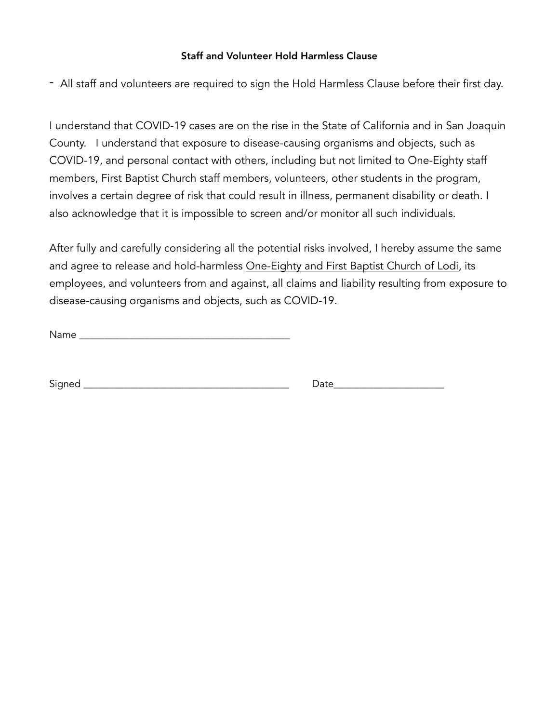#### Staff and Volunteer Hold Harmless Clause

- All staff and volunteers are required to sign the Hold Harmless Clause before their first day.

I understand that COVID-19 cases are on the rise in the State of California and in San Joaquin County. I understand that exposure to disease-causing organisms and objects, such as COVID-19, and personal contact with others, including but not limited to One-Eighty staff members, First Baptist Church staff members, volunteers, other students in the program, involves a certain degree of risk that could result in illness, permanent disability or death. I also acknowledge that it is impossible to screen and/or monitor all such individuals.

After fully and carefully considering all the potential risks involved, I hereby assume the same and agree to release and hold-harmless One-Eighty and First Baptist Church of Lodi, its employees, and volunteers from and against, all claims and liability resulting from exposure to disease-causing organisms and objects, such as COVID-19.

Name \_\_\_\_\_\_\_\_\_\_\_\_\_\_\_\_\_\_\_\_\_\_\_\_\_\_\_\_\_\_\_\_\_\_\_\_\_\_\_\_\_\_

Signed \_\_\_\_\_\_\_\_\_\_\_\_\_\_\_\_\_\_\_\_\_\_\_\_\_\_\_\_\_\_\_\_\_\_\_\_\_\_\_\_\_ Date\_\_\_\_\_\_\_\_\_\_\_\_\_\_\_\_\_\_\_\_\_\_